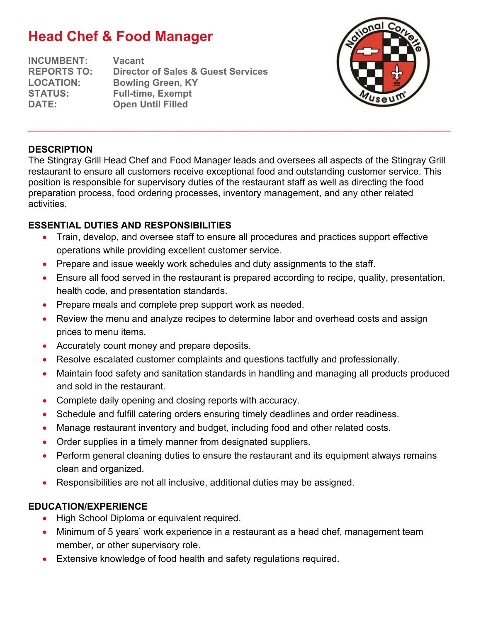# **Head Chef & Food Manager**

**INCUMBENT: Vacant REPORTS TO: Director of Sales & Guest Services LOCATION: Bowling Green, KY STATUS: Full-time, Exempt DATE: Open Until Filled**



## **DESCRIPTION**

The Stingray Grill Head Chef and Food Manager leads and oversees all aspects of the Stingray Grill restaurant to ensure all customers receive exceptional food and outstanding customer service. This position is responsible for supervisory duties of the restaurant staff as well as directing the food preparation process, food ordering processes, inventory management, and any other related activities.

\_\_\_\_\_\_\_\_\_\_\_\_\_\_\_\_\_\_\_\_\_\_\_\_\_\_\_\_\_\_\_\_\_\_\_\_\_\_\_\_\_\_\_\_\_\_\_\_\_\_\_\_\_\_\_\_\_\_\_\_\_\_\_\_\_\_\_\_\_\_\_\_\_\_\_\_\_\_\_\_\_\_\_\_\_\_\_\_\_\_

## **ESSENTIAL DUTIES AND RESPONSIBILITIES**

- Train, develop, and oversee staff to ensure all procedures and practices support effective operations while providing excellent customer service.
- Prepare and issue weekly work schedules and duty assignments to the staff.
- Ensure all food served in the restaurant is prepared according to recipe, quality, presentation, health code, and presentation standards.
- Prepare meals and complete prep support work as needed.
- Review the menu and analyze recipes to determine labor and overhead costs and assign prices to menu items.
- Accurately count money and prepare deposits.
- Resolve escalated customer complaints and questions tactfully and professionally.
- Maintain food safety and sanitation standards in handling and managing all products produced and sold in the restaurant.
- Complete daily opening and closing reports with accuracy.
- Schedule and fulfill catering orders ensuring timely deadlines and order readiness.
- Manage restaurant inventory and budget, including food and other related costs.
- Order supplies in a timely manner from designated suppliers.
- Perform general cleaning duties to ensure the restaurant and its equipment always remains clean and organized.
- Responsibilities are not all inclusive, additional duties may be assigned.

## **EDUCATION/EXPERIENCE**

- High School Diploma or equivalent required.
- Minimum of 5 years' work experience in a restaurant as a head chef, management team member, or other supervisory role.
- Extensive knowledge of food health and safety regulations required.